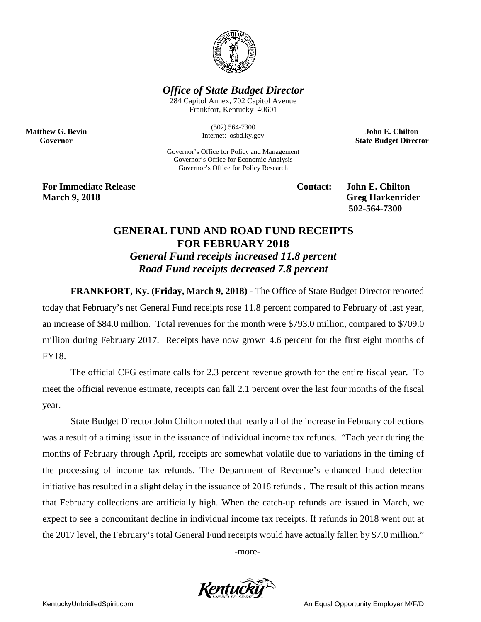

## *Office of State Budget Director*

284 Capitol Annex, 702 Capitol Avenue Frankfort, Kentucky 40601

> (502) 564-7300 Internet: osbd.ky.gov

Governor's Office for Policy and Management Governor's Office for Economic Analysis Governor's Office for Policy Research

**John E. Chilton State Budget Director**

**For Immediate Release Contact: John E. Chilton March** 9, 2018 **Greg Harkenrider Greg Harkenrider Greg Harkenrider** 

**Matthew G. Bevin Governor**

**502-564-7300** 

## **GENERAL FUND AND ROAD FUND RECEIPTS FOR FEBRUARY 2018** *General Fund receipts increased 11.8 percent Road Fund receipts decreased 7.8 percent*

**FRANKFORT, Ky. (Friday, March 9, 2018)** - The Office of State Budget Director reported today that February's net General Fund receipts rose 11.8 percent compared to February of last year, an increase of \$84.0 million. Total revenues for the month were \$793.0 million, compared to \$709.0 million during February 2017. Receipts have now grown 4.6 percent for the first eight months of FY18.

The official CFG estimate calls for 2.3 percent revenue growth for the entire fiscal year. To meet the official revenue estimate, receipts can fall 2.1 percent over the last four months of the fiscal year.

State Budget Director John Chilton noted that nearly all of the increase in February collections was a result of a timing issue in the issuance of individual income tax refunds. "Each year during the months of February through April, receipts are somewhat volatile due to variations in the timing of the processing of income tax refunds. The Department of Revenue's enhanced fraud detection initiative has resulted in a slight delay in the issuance of 2018 refunds . The result of this action means that February collections are artificially high. When the catch-up refunds are issued in March, we expect to see a concomitant decline in individual income tax receipts. If refunds in 2018 went out at the 2017 level, the February's total General Fund receipts would have actually fallen by \$7.0 million."

-more-

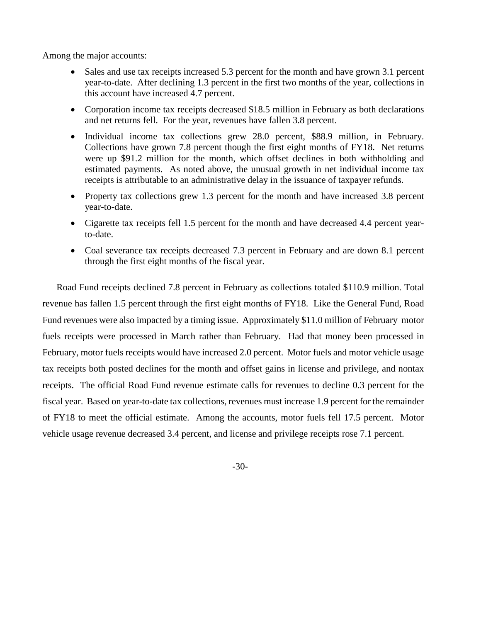Among the major accounts:

- Sales and use tax receipts increased 5.3 percent for the month and have grown 3.1 percent year-to-date. After declining 1.3 percent in the first two months of the year, collections in this account have increased 4.7 percent.
- Corporation income tax receipts decreased \$18.5 million in February as both declarations and net returns fell. For the year, revenues have fallen 3.8 percent.
- Individual income tax collections grew 28.0 percent, \$88.9 million, in February. Collections have grown 7.8 percent though the first eight months of FY18. Net returns were up \$91.2 million for the month, which offset declines in both withholding and estimated payments. As noted above, the unusual growth in net individual income tax receipts is attributable to an administrative delay in the issuance of taxpayer refunds.
- Property tax collections grew 1.3 percent for the month and have increased 3.8 percent year-to-date.
- Cigarette tax receipts fell 1.5 percent for the month and have decreased 4.4 percent yearto-date.
- Coal severance tax receipts decreased 7.3 percent in February and are down 8.1 percent through the first eight months of the fiscal year.

Road Fund receipts declined 7.8 percent in February as collections totaled \$110.9 million. Total revenue has fallen 1.5 percent through the first eight months of FY18. Like the General Fund, Road Fund revenues were also impacted by a timing issue. Approximately \$11.0 million of February motor fuels receipts were processed in March rather than February. Had that money been processed in February, motor fuels receipts would have increased 2.0 percent. Motor fuels and motor vehicle usage tax receipts both posted declines for the month and offset gains in license and privilege, and nontax receipts. The official Road Fund revenue estimate calls for revenues to decline 0.3 percent for the fiscal year. Based on year-to-date tax collections, revenues must increase 1.9 percent for the remainder of FY18 to meet the official estimate. Among the accounts, motor fuels fell 17.5 percent. Motor vehicle usage revenue decreased 3.4 percent, and license and privilege receipts rose 7.1 percent.

-30-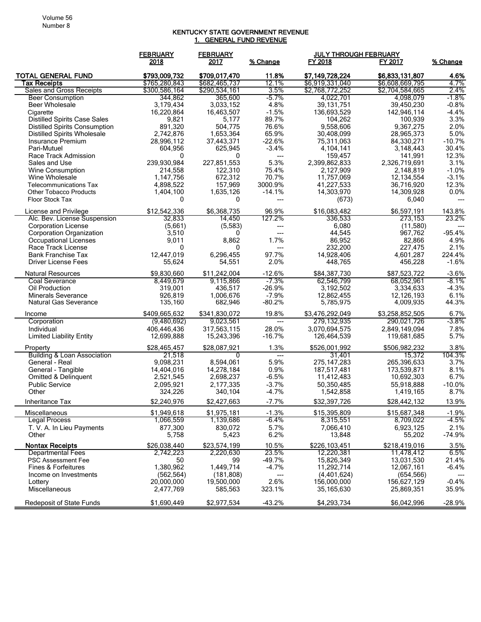## KENTUCKY STATE GOVERNMENT REVENUE 1. GENERAL FUND REVENUE

|                                                         | <b>FEBRUARY</b>         | <b>FEBRUARY</b>      |                 | <b>JULY THROUGH FEBRUARY</b> |                          |                  |
|---------------------------------------------------------|-------------------------|----------------------|-----------------|------------------------------|--------------------------|------------------|
|                                                         | 2018                    | 2017                 | % Change        | FY 2018                      | FY 2017                  | % Change         |
| <b>TOTAL GENERAL FUND</b>                               | \$793.009.732           | \$709,017,470        | 11.8%           | \$7,149,728,224              | \$6,833,131,807          | 4.6%             |
| Tax Receipts                                            | \$765,280,843           | \$682,465,737        | 12.1%           | \$6,919,331,040              | \$6,608,669,795          | 4.7%             |
| Sales and Gross Receipts                                | \$300,586,164           | \$290,534,161        | 3.5%            | \$2,768,772,252              | \$2,704,584,665          | 2.4%             |
| <b>Beer Consumption</b>                                 | 344.862                 | 365.600              | $-5.7%$         | 4.022.701                    | 4.098.079                | $-1.8%$          |
| Beer Wholesale                                          | 3,179,434               | 3,033,152            | 4.8%            | 39, 131, 751                 | 39,450,230               | $-0.8%$          |
| Cigarette                                               | 16,220,864              | 16,463,507           | $-1.5%$         | 136,693,529                  | 142,946,114              | $-4.4%$          |
| <b>Distilled Spirits Case Sales</b>                     | 9,821                   | 5,177                | 89.7%           | 104,262                      | 100,939                  | 3.3%             |
| <b>Distilled Spirits Consumption</b>                    | 891,320                 | 504,775<br>1,653,364 | 76.6%<br>65.9%  | 9,558,606                    | 9,367,275                | 2.0%<br>5.0%     |
| <b>Distilled Spirits Wholesale</b><br>Insurance Premium | 2,742,876<br>28,996.112 | 37,443,371           | $-22.6%$        | 30,408,099<br>75,311,063     | 28,965,373<br>84,330,271 | $-10.7%$         |
| Pari-Mutuel                                             | 604,956                 | 625,945              | $-3.4%$         | 4,104,141                    | 3,148,443                | 30.4%            |
| Race Track Admission                                    | 0                       | 0                    | ---             | 159,457                      | 141,991                  | 12.3%            |
| Sales and Use                                           | 239,930,984             | 227,851,553          | 5.3%            | 2,399,862,833                | 2,326,719,691            | 3.1%             |
| Wine Consumption                                        | 214,558                 | 122,310              | 75.4%           | 2,127,909                    | 2,148,819                | $-1.0%$          |
| Wine Wholesale                                          | 1,147,756               | 672,312              | 70.7%           | 11,757,069                   | 12, 134, 554             | $-3.1%$          |
| <b>Telecommunications Tax</b>                           | 4,898,522               | 157,969              | 3000.9%         | 41,227,533                   | 36,716,920               | 12.3%            |
| <b>Other Tobacco Products</b>                           | 1,404,100               | 1,635,126            | $-14.1%$        | 14,303,970                   | 14,309,928               | 0.0%             |
| <b>Floor Stock Tax</b>                                  | 0                       | 0                    | ---             | (673)                        | 6.040                    | ---              |
| License and Privilege                                   | \$12,542,336            | \$6,368,735          | 96.9%           | \$16,083,482                 | \$6,597,191              | 143.8%           |
| Alc. Bev. License Suspension                            | 32,833                  | 14,450               | 127.2%          | 336,533                      | 273,153                  | 23.2%            |
| <b>Corporation License</b>                              | (5,661)                 | (5,583)              | ---             | 6,080                        | (11,580)                 |                  |
| Corporation Organization                                | 3,510                   | 0                    | ---             | 44,545                       | 967,762                  | $-95.4%$         |
| <b>Occupational Licenses</b>                            | 9,011                   | 8,862                | 1.7%            | 86,952                       | 82,866                   | 4.9%             |
| Race Track License                                      | $\mathbf{0}$            | 0                    | ---             | 232,200                      | 227,475                  | 2.1%             |
| <b>Bank Franchise Tax</b>                               | 12,447,019              | 6,296,455            | 97.7%           | 14,928,406                   | 4,601,287                | 224.4%           |
| <b>Driver License Fees</b>                              | 55,624                  | 54,551               | 2.0%            | 448,765                      | 456,228                  | $-1.6%$          |
| <b>Natural Resources</b>                                | \$9,830,660             | \$11,242,004         | $-12.6%$        | \$84,387,730                 | \$87,523,722             | $-3.6%$          |
| <b>Coal Severance</b>                                   | 8,449,679               | 9,115,866            | $-7.3%$         | 62,546,799                   | 68,052,961               | $-8.1%$          |
| Oil Production                                          | 319,001                 | 436,517              | $-26.9%$        | 3,192,502                    | 3,334,633                | $-4.3%$          |
| <b>Minerals Severance</b>                               | 926,819                 | 1,006,676            | $-7.9%$         | 12,862,455                   | 12,126,193               | 6.1%             |
| Natural Gas Severance                                   | 135,160                 | 682,946              | $-80.2%$        | 5,785,975                    | 4,009,935                | 44.3%            |
| Income                                                  | \$409,665,632           | \$341,830,072        | 19.8%           | \$3,476,292,049              | \$3,258,852,505          | 6.7%             |
| Corporation                                             | (9,480,692)             | 9,023,561            | $---$           | 279,132,935                  | 290,021,726              | $-3.8%$          |
| Individual                                              | 406,446,436             | 317,563,115          | 28.0%           | 3,070,694,575                | 2,849,149,094            | 7.8%             |
| <b>Limited Liability Entity</b>                         | 12,699,888              | 15,243,396           | $-16.7%$        | 126,464,539                  | 119,681,685              | 5.7%             |
| Property                                                | \$28,465,457            | \$28,087,921         | 1.3%            | \$526,001,992                | \$506,982,232            | 3.8%             |
| Building & Loan Association                             | 21,518                  | $\Omega$             | ---             | 31,401                       | 15.372                   | 104.3%           |
| General - Real                                          | 9,098,231               | 8,594,061            | 5.9%            | 275, 147, 283                | 265,396,633              | 3.7%             |
| General - Tangible                                      | 14,404,016              | 14,278,184           | 0.9%            | 187,517,481                  | 173,539,871              | 8.1%             |
| Omitted & Delinquent                                    | 2,521,545               | 2,698,237            | $-6.5%$         | 11,412,483                   | 10,692,303               | 6.7%             |
| <b>Public Service</b>                                   | 2,095,921               | 2,177,335            | $-3.7%$         | 50,350,485                   | 55,918,888               | $-10.0%$         |
| Other                                                   | 324,226                 | 340,104              | $-4.7%$         | 1,542,858                    | 1,419,165                | 8.7%             |
| Inheritance Tax                                         | \$2,240,976             | \$2,427,663          | $-7.7%$         | \$32,397,726                 | \$28,442,132             | 13.9%            |
| Miscellaneous                                           | \$1,949,618             | \$1,975,181          | $-1.3%$         | \$15,395,809                 | \$15,687,348             | $-1.9%$          |
| Legal Process                                           | 1,066,559               | 1,139,686            | -6.4%           | 8,315,551                    | 8,709,022                | $-4.5%$          |
| T. V. A. In Lieu Payments                               | 877,300                 | 830,072              | 5.7%            | 7,066,410                    | 6,923,125                | 2.1%             |
| Other                                                   | 5,758                   | 5,423                | 6.2%            | 13,848                       | 55,202                   | $-74.9%$         |
| <b>Nontax Receipts</b>                                  | \$26,038,440            | \$23,574,199         | 10.5%           | \$226,103,451                | \$218,419,016            | 3.5%             |
| <b>Departmental Fees</b>                                | 2,742,223               | 2,220,630<br>99      | 23.5%<br>-49.7% | 12,220,381                   | 11,478,412               | 6.5%             |
| <b>PSC Assessment Fee</b><br>Fines & Forfeitures        | 50<br>1,380,962         | 1,449,714            | $-4.7%$         | 15,826,349<br>11,292,714     | 13,031,530<br>12,067,161 | 21.4%<br>$-6.4%$ |
| Income on Investments                                   | (562, 564)              | (181, 808)           |                 | (4,401,624)                  | (654, 566)               |                  |
| Lottery                                                 | 20,000,000              | 19,500,000           | 2.6%            | 156,000,000                  | 156,627,129              | $-0.4%$          |
| Miscellaneous                                           | 2,477,769               | 585,563              | 323.1%          | 35,165,630                   | 25,869,351               | 35.9%            |
|                                                         |                         |                      |                 |                              |                          |                  |
| <b>Redeposit of State Funds</b>                         | \$1,690,449             | \$2,977,534          | $-43.2%$        | \$4,293,734                  | \$6,042,996              | $-28.9%$         |